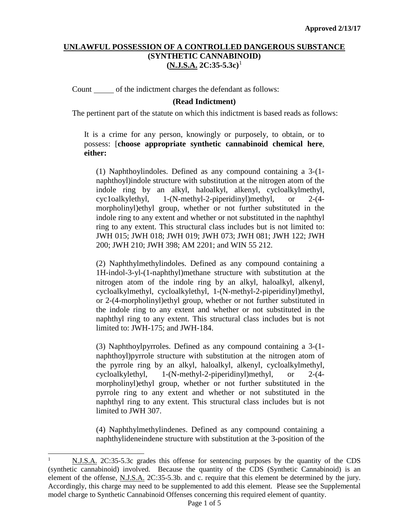### **UNLAWFUL POSSESSION OF A CONTROLLED DANGEROUS SUBSTANCE (SYNTHETIC CANNABINOID) (N.J.S.A. 2C:35-5.3c)**[1](#page-0-0)

Count of the indictment charges the defendant as follows:

### **(Read Indictment)**

The pertinent part of the statute on which this indictment is based reads as follows:

It is a crime for any person, knowingly or purposely, to obtain, or to possess: [**choose appropriate synthetic cannabinoid chemical here**, **either:**

(1) Naphthoylindoles. Defined as any compound containing a 3-(1 naphthoyl)indole structure with substitution at the nitrogen atom of the indole ring by an alkyl, haloalkyl, alkenyl, cycloalkylmethyl, cyc1oalkylethyl, 1-(N-methyl-2-piperidinyl)methyl, or 2-(4 morpholinyl)ethyl group, whether or not further substituted in the indole ring to any extent and whether or not substituted in the naphthyl ring to any extent. This structural class includes but is not limited to: JWH 015; JWH 018; JWH 019; JWH 073; JWH 081; JWH 122; JWH 200; JWH 210; JWH 398; AM 2201; and WIN 55 212.

(2) Naphthylmethylindoles. Defined as any compound containing a 1H-indol-3-yl-(1-naphthyl)methane structure with substitution at the nitrogen atom of the indole ring by an alkyl, haloalkyl, alkenyl, cycloalkylmethyl, cycloalkylethyl, 1-(N-methyl-2-piperidinyl)methyl, or 2-(4-morpholinyl)ethyl group, whether or not further substituted in the indole ring to any extent and whether or not substituted in the naphthyl ring to any extent. This structural class includes but is not limited to: JWH-175; and JWH-184.

(3) Naphthoylpyrroles. Defined as any compound containing a 3-(1 naphthoyl)pyrrole structure with substitution at the nitrogen atom of the pyrrole ring by an alkyl, haloalkyl, alkenyl, cycloalkylmethyl, cycloalkylethyl, 1-(N-methyl-2-piperidinyl)methyl, or 2-(4 morpholinyl)ethyl group, whether or not further substituted in the pyrrole ring to any extent and whether or not substituted in the naphthyl ring to any extent. This structural class includes but is not limited to JWH 307.

(4) Naphthylmethylindenes. Defined as any compound containing a naphthylideneindene structure with substitution at the 3-position of the

<span id="page-0-0"></span><sup>-</sup><sup>1</sup> N.J.S.A. 2C:35-5.3c grades this offense for sentencing purposes by the quantity of the CDS (synthetic cannabinoid) involved. Because the quantity of the CDS (Synthetic Cannabinoid) is an element of the offense, N.J.S.A. 2C:35-5.3b. and c. require that this element be determined by the jury. Accordingly, this charge may need to be supplemented to add this element. Please see the Supplemental model charge to Synthetic Cannabinoid Offenses concerning this required element of quantity.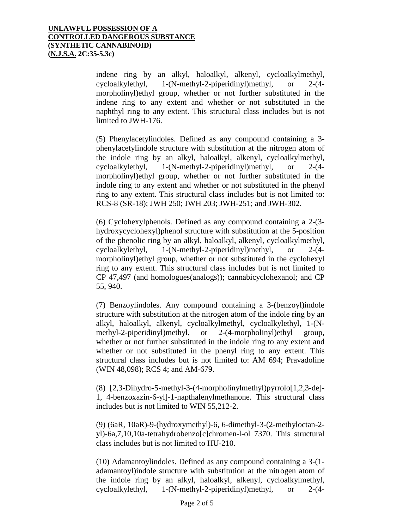indene ring by an alkyl, haloalkyl, alkenyl, cycloalkylmethyl, cycloalkylethyl, 1-(N-methyl-2-piperidinyl)methyl, or 2-(4 morpholinyl)ethyl group, whether or not further substituted in the indene ring to any extent and whether or not substituted in the naphthyl ring to any extent. This structural class includes but is not limited to JWH-176.

(5) Phenylacetylindoles. Defined as any compound containing a 3 phenylacetylindole structure with substitution at the nitrogen atom of the indole ring by an alkyl, haloalkyl, alkenyl, cycloalkylmethyl, cycloalkylethyl, 1-(N-methyl-2-piperidinyl)methyl, or 2-(4 morpholinyl)ethyl group, whether or not further substituted in the indole ring to any extent and whether or not substituted in the phenyl ring to any extent. This structural class includes but is not limited to: RCS-8 (SR-18); JWH 250; JWH 203; JWH-251; and JWH-302.

(6) Cyclohexylphenols. Defined as any compound containing a 2-(3 hydroxycyclohexyl)phenol structure with substitution at the 5-position of the phenolic ring by an alkyl, haloalkyl, alkenyl, cycloalkylmethyl, cycloalkylethyl, 1-(N-methyl-2-piperidinyl)methyl, or 2-(4 morpholinyl)ethyl group, whether or not substituted in the cyclohexyl ring to any extent. This structural class includes but is not limited to CP 47,497 (and homologues(analogs)); cannabicyclohexanol; and CP 55, 940.

(7) Benzoylindoles. Any compound containing a 3-(benzoyl)indole structure with substitution at the nitrogen atom of the indole ring by an alkyl, haloalkyl, alkenyl, cycloalkylmethyl, cycloalkylethyl, 1-(Nmethyl-2-piperidinyl)methyl, or 2-(4-morpholinyl)ethyl group, whether or not further substituted in the indole ring to any extent and whether or not substituted in the phenyl ring to any extent. This structural class includes but is not limited to: AM 694; Pravadoline (WIN 48,098); RCS 4; and AM-679.

(8) [2,3-Dihydro-5-methyl-3-(4-morpholinylmethyl)pyrrolo[1,2,3-de]- 1, 4-benzoxazin-6-yl]-1-napthalenylmethanone. This structural class includes but is not limited to WIN 55,212-2.

(9) (6aR, 10aR)-9-(hydroxymethyl)-6, 6-dimethyl-3-(2-methyloctan-2 yl)-6a,7,10,10a-tetrahydrobenzo[c]chromen-l-ol 7370. This structural class includes but is not limited to HU-210.

(10) Adamantoylindoles. Defined as any compound containing a 3-(1 adamantoyl)indole structure with substitution at the nitrogen atom of the indole ring by an alkyl, haloalkyl, alkenyl, cycloalkylmethyl, cycloalkylethyl, 1-(N-methyl-2-piperidinyl)methyl, or 2-(4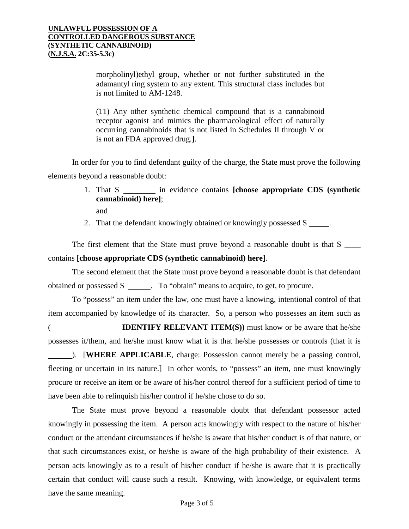morpholinyl)ethyl group, whether or not further substituted in the adamantyl ring system to any extent. This structural class includes but is not limited to AM-1248.

(11) Any other synthetic chemical compound that is a cannabinoid receptor agonist and mimics the pharmacological effect of naturally occurring cannabinoids that is not listed in Schedules II through V or is not an FDA approved drug.**]**.

In order for you to find defendant guilty of the charge, the State must prove the following elements beyond a reasonable doubt:

> 1. That S in evidence contains **[choose appropriate CDS (synthetic cannabinoid) here]**;

and

2. That the defendant knowingly obtained or knowingly possessed S .

The first element that the State must prove beyond a reasonable doubt is that S contains **[choose appropriate CDS (synthetic cannabinoid) here]**.

The second element that the State must prove beyond a reasonable doubt is that defendant obtained or possessed S \_\_\_\_\_\_. To "obtain" means to acquire, to get, to procure.

To "possess" an item under the law, one must have a knowing, intentional control of that item accompanied by knowledge of its character. So, a person who possesses an item such as **IDENTIFY RELEVANT ITEM(S)**) must know or be aware that he/she possesses it/them, and he/she must know what it is that he/she possesses or controls (that it is ). [**WHERE APPLICABLE**, charge: Possession cannot merely be a passing control,

fleeting or uncertain in its nature.] In other words, to "possess" an item, one must knowingly procure or receive an item or be aware of his/her control thereof for a sufficient period of time to have been able to relinquish his/her control if he/she chose to do so.

The State must prove beyond a reasonable doubt that defendant possessor acted knowingly in possessing the item. A person acts knowingly with respect to the nature of his/her conduct or the attendant circumstances if he/she is aware that his/her conduct is of that nature, or that such circumstances exist, or he/she is aware of the high probability of their existence. A person acts knowingly as to a result of his/her conduct if he/she is aware that it is practically certain that conduct will cause such a result. Knowing, with knowledge, or equivalent terms have the same meaning.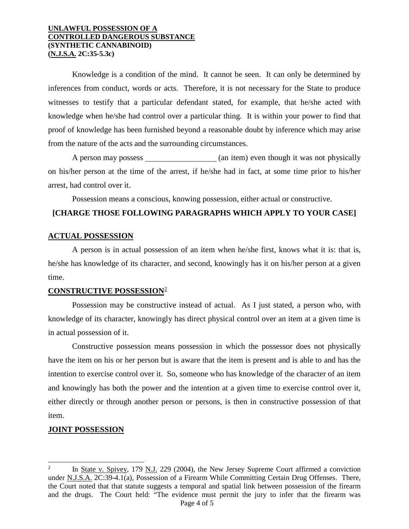#### **UNLAWFUL POSSESSION OF A CONTROLLED DANGEROUS SUBSTANCE (SYNTHETIC CANNABINOID) (N.J.S.A. 2C:35-5.3c)**

Knowledge is a condition of the mind. It cannot be seen. It can only be determined by inferences from conduct, words or acts. Therefore, it is not necessary for the State to produce witnesses to testify that a particular defendant stated, for example, that he/she acted with knowledge when he/she had control over a particular thing. It is within your power to find that proof of knowledge has been furnished beyond a reasonable doubt by inference which may arise from the nature of the acts and the surrounding circumstances.

A person may possess (an item) even though it was not physically on his/her person at the time of the arrest, if he/she had in fact, at some time prior to his/her arrest, had control over it.

Possession means a conscious, knowing possession, either actual or constructive.

#### **[CHARGE THOSE FOLLOWING PARAGRAPHS WHICH APPLY TO YOUR CASE]**

#### **ACTUAL POSSESSION**

A person is in actual possession of an item when he/she first, knows what it is: that is, he/she has knowledge of its character, and second, knowingly has it on his/her person at a given time.

#### **CONSTRUCTIVE POSSESSION**[2](#page-3-0)

Possession may be constructive instead of actual. As I just stated, a person who, with knowledge of its character, knowingly has direct physical control over an item at a given time is in actual possession of it.

Constructive possession means possession in which the possessor does not physically have the item on his or her person but is aware that the item is present and is able to and has the intention to exercise control over it. So, someone who has knowledge of the character of an item and knowingly has both the power and the intention at a given time to exercise control over it, either directly or through another person or persons, is then in constructive possession of that item.

# **JOINT POSSESSION**

j

<span id="page-3-0"></span>Page 4 of 5 In State v. Spivey, 179 N.J. 229 (2004), the New Jersey Supreme Court affirmed a conviction under N.J.S.A. 2C:39-4.1(a), Possession of a Firearm While Committing Certain Drug Offenses. There, the Court noted that that statute suggests a temporal and spatial link between possession of the firearm and the drugs. The Court held: "The evidence must permit the jury to infer that the firearm was